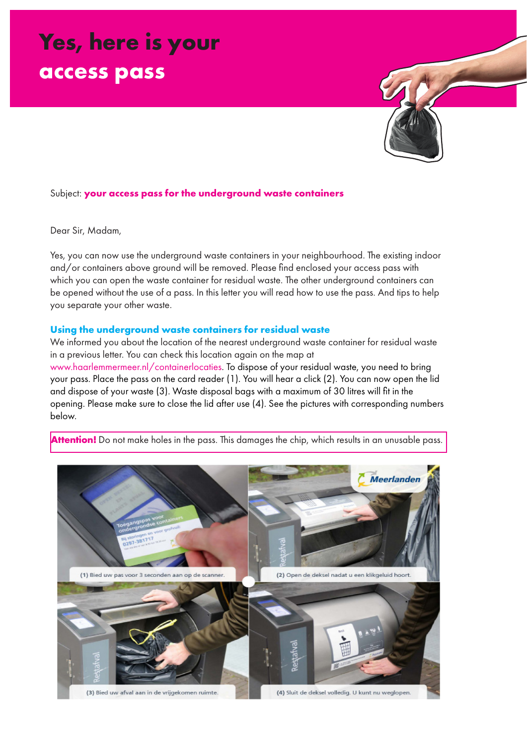# **Yes, here is your access pass**



## Subject: **your access pass for the underground waste containers**

Dear Sir, Madam,

Yes, you can now use the underground waste containers in your neighbourhood. The existing indoor and/or containers above ground will be removed. Please find enclosed your access pass with which you can open the waste container for residual waste. The other underground containers can be opened without the use of a pass. In this letter you will read how to use the pass. And tips to help you separate your other waste.

#### **Using the underground waste containers for residual waste**

We informed you about the location of the nearest underground waste container for residual waste in a previous letter. You can check this location again on the map at

www.haarlemmermeer.nl/containerlocaties. To dispose of your residual waste, you need to bring your pass. Place the pass on the card reader (1). You will hear a click (2). You can now open the lid and dispose of your waste (3). Waste disposal bags with a maximum of 30 litres will fit in the opening. Please make sure to close the lid after use (4). See the pictures with corresponding numbers below.



**Attention!** Do not make holes in the pass. This damages the chip, which results in an unusable pass.